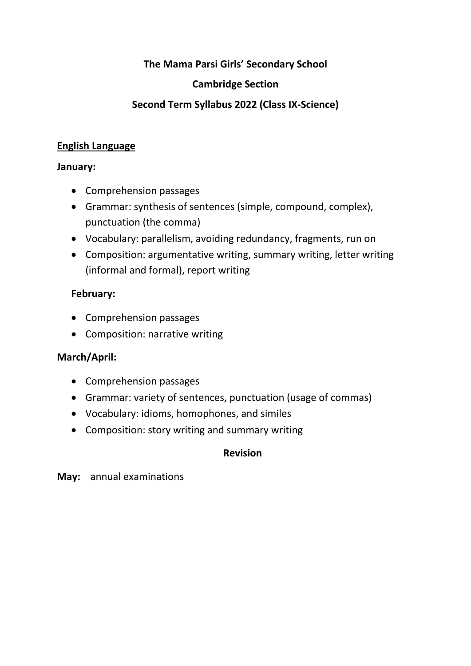# **The Mama Parsi Girls' Secondary School**

### **Cambridge Section**

# **Second Term Syllabus 2022 (Class IX-Science)**

### **English Language**

#### **January:**

- Comprehension passages
- Grammar: synthesis of sentences (simple, compound, complex), punctuation (the comma)
- Vocabulary: parallelism, avoiding redundancy, fragments, run on
- Composition: argumentative writing, summary writing, letter writing (informal and formal), report writing

# **February:**

- Comprehension passages
- Composition: narrative writing

### **March/April:**

- Comprehension passages
- Grammar: variety of sentences, punctuation (usage of commas)
- Vocabulary: idioms, homophones, and similes
- Composition: story writing and summary writing

### **Revision**

**May:** annual examinations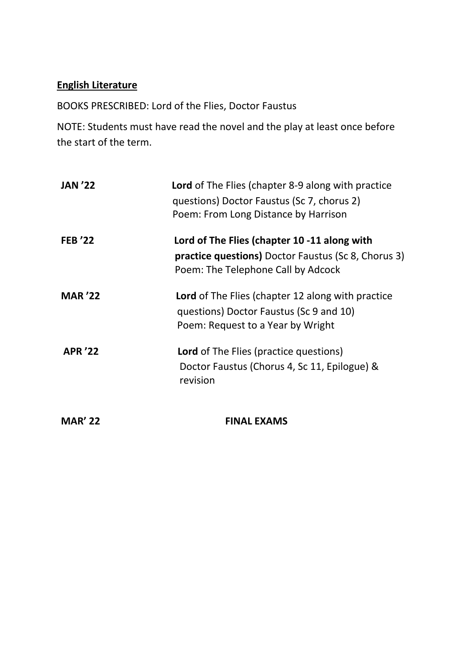# **English Literature**

BOOKS PRESCRIBED: Lord of the Flies, Doctor Faustus

NOTE: Students must have read the novel and the play at least once before the start of the term.

| <b>JAN '22</b> | <b>Lord</b> of The Flies (chapter 8-9 along with practice<br>questions) Doctor Faustus (Sc 7, chorus 2)<br>Poem: From Long Distance by Harrison  |
|----------------|--------------------------------------------------------------------------------------------------------------------------------------------------|
| <b>FEB '22</b> | Lord of The Flies (chapter 10 -11 along with<br><b>practice questions)</b> Doctor Faustus (Sc 8, Chorus 3)<br>Poem: The Telephone Call by Adcock |
| <b>MAR '22</b> | <b>Lord</b> of The Flies (chapter 12 along with practice<br>questions) Doctor Faustus (Sc 9 and 10)<br>Poem: Request to a Year by Wright         |
| <b>APR '22</b> | <b>Lord</b> of The Flies (practice questions)<br>Doctor Faustus (Chorus 4, Sc 11, Epilogue) &<br>revision                                        |
| <b>MAR' 22</b> | <b>FINAL EXAMS</b>                                                                                                                               |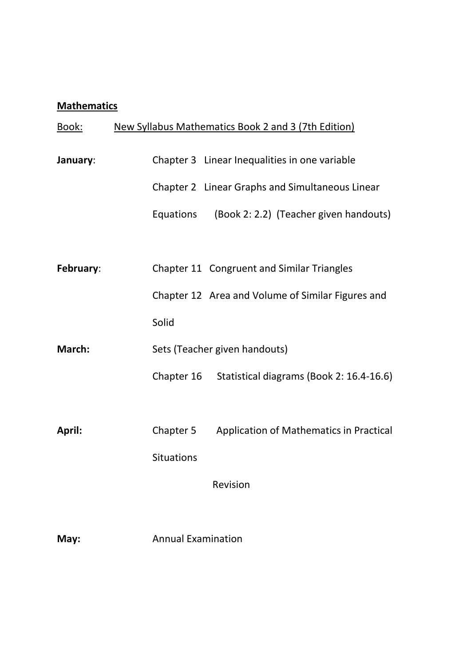# **Mathematics**

| <u>Book:</u>  | New Syllabus Mathematics Book 2 and 3 (7th Edition)    |
|---------------|--------------------------------------------------------|
| January:      | Chapter 3 Linear Inequalities in one variable          |
|               | Chapter 2 Linear Graphs and Simultaneous Linear        |
|               | (Book 2: 2.2) (Teacher given handouts)<br>Equations    |
|               |                                                        |
| February:     | Chapter 11 Congruent and Similar Triangles             |
|               | Chapter 12 Area and Volume of Similar Figures and      |
|               | Solid                                                  |
| <b>March:</b> | Sets (Teacher given handouts)                          |
|               | Statistical diagrams (Book 2: 16.4-16.6)<br>Chapter 16 |
|               |                                                        |
| April:        | Chapter 5<br>Application of Mathematics in Practical   |
|               | <b>Situations</b>                                      |
|               | Revision                                               |
| May:          | <b>Annual Examination</b>                              |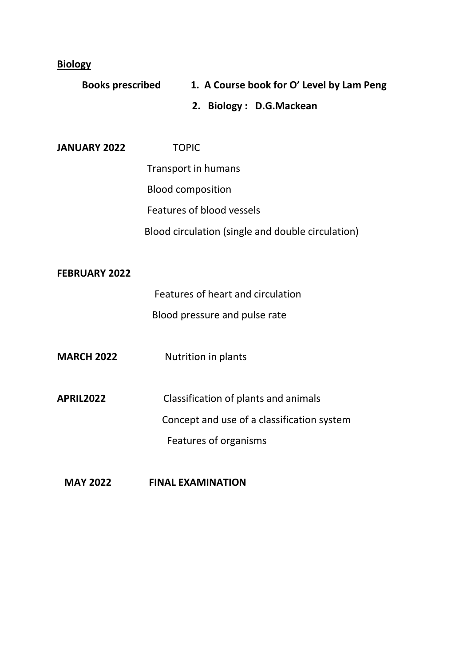**Biology**

| <b>Books prescribed</b> |                            | 1. A Course book for O' Level by Lam Peng         |
|-------------------------|----------------------------|---------------------------------------------------|
|                         |                            | 2. Biology: D.G.Mackean                           |
|                         |                            |                                                   |
| <b>JANUARY 2022</b>     | <b>TOPIC</b>               |                                                   |
|                         | <b>Transport in humans</b> |                                                   |
|                         | <b>Blood composition</b>   |                                                   |
|                         |                            | Features of blood vessels                         |
|                         |                            | Blood circulation (single and double circulation) |
|                         |                            |                                                   |
| <b>FEBRUARY 2022</b>    |                            |                                                   |
|                         |                            | Features of heart and circulation                 |
|                         |                            | Blood pressure and pulse rate                     |
|                         |                            |                                                   |
| <b>MARCH 2022</b>       |                            | Nutrition in plants                               |
|                         |                            |                                                   |
| <b>APRIL2022</b>        |                            | Classification of plants and animals              |
|                         |                            | Concept and use of a classification system        |
|                         |                            | Features of organisms                             |
|                         |                            |                                                   |
|                         |                            |                                                   |

# **MAY 2022 FINAL EXAMINATION**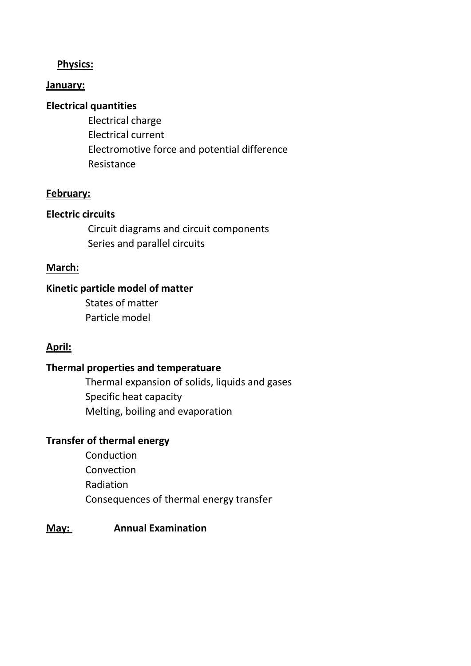### **Physics:**

#### **January:**

### **Electrical quantities**

Electrical charge Electrical current Electromotive force and potential difference Resistance

#### **February:**

#### **Electric circuits**

Circuit diagrams and circuit components Series and parallel circuits

#### **March:**

### **Kinetic particle model of matter**

States of matter Particle model

#### **April:**

### **Thermal properties and temperatuare**

Thermal expansion of solids, liquids and gases Specific heat capacity Melting, boiling and evaporation

# **Transfer of thermal energy**

Conduction **Convection** Radiation Consequences of thermal energy transfer

#### **May: Annual Examination**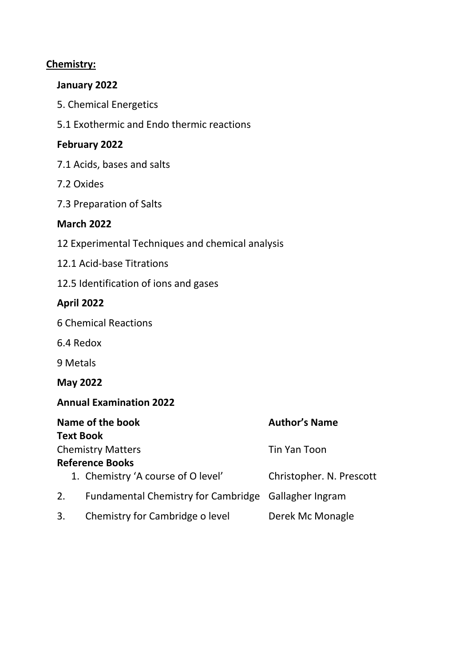### **Chemistry:**

#### **January 2022**

- 5. Chemical Energetics
- 5.1 Exothermic and Endo thermic reactions

### **February 2022**

- 7.1 Acids, bases and salts
- 7.2 Oxides
- 7.3 Preparation of Salts

### **March 2022**

- 12 Experimental Techniques and chemical analysis
- 12.1 Acid-base Titrations
- 12.5 Identification of ions and gases

# **April 2022**

- 6 Chemical Reactions
- 6.4 Redox
- 9 Metals

**May 2022**

### **Annual Examination 2022**

| Name of the book |                                                      | <b>Author's Name</b>     |  |
|------------------|------------------------------------------------------|--------------------------|--|
|                  | <b>Text Book</b>                                     |                          |  |
|                  | <b>Chemistry Matters</b>                             | Tin Yan Toon             |  |
|                  | <b>Reference Books</b>                               |                          |  |
|                  | 1. Chemistry 'A course of O level'                   | Christopher. N. Prescott |  |
| 2.               | Fundamental Chemistry for Cambridge Gallagher Ingram |                          |  |
| 3.               | Chemistry for Cambridge o level                      | Derek Mc Monagle         |  |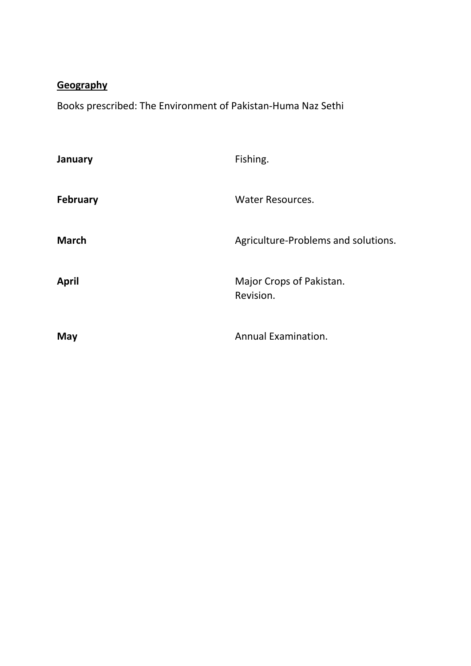# **Geography**

Books prescribed: The Environment of Pakistan-Huma Naz Sethi

| January         | Fishing.                              |
|-----------------|---------------------------------------|
| <b>February</b> | <b>Water Resources.</b>               |
| <b>March</b>    | Agriculture-Problems and solutions.   |
| <b>April</b>    | Major Crops of Pakistan.<br>Revision. |
| May             | Annual Examination.                   |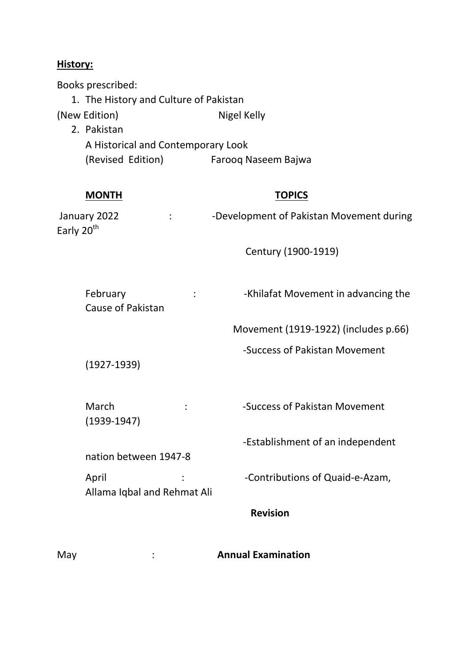#### **History:**

Books prescribed:

1. The History and Culture of Pakistan (New Edition) Nigel Kelly 2. Pakistan A Historical and Contemporary Look (Revised Edition) Farooq Naseem Bajwa

| <b>MONTH</b>                           | <b>TOPICS</b>                            |
|----------------------------------------|------------------------------------------|
| January 2022<br>Early 20 <sup>th</sup> | -Development of Pakistan Movement during |

Century (1900-1919)

| February          | -Khilafat Movement in advancing the |
|-------------------|-------------------------------------|
| Cause of Pakistan |                                     |

Movement (1919-1922) (includes p.66)

-Success of Pakistan Movement

(1927-1939)

March :  $\cdot$  -Success of Pakistan Movement (1939-1947)

-Establishment of an independent

nation between 1947-8

Allama Iqbal and Rehmat Ali

April  $\qquad \qquad : \qquad \qquad$  -Contributions of Quaid-e-Azam,

 **Revision**

May : **Annual Examination**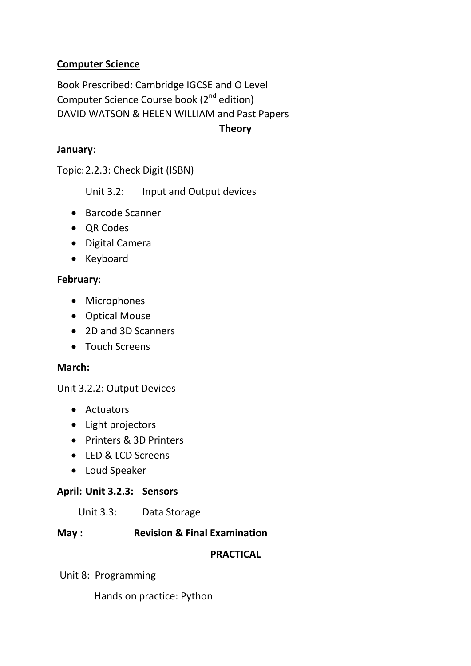# **Computer Science**

Book Prescribed: Cambridge IGCSE and O Level Computer Science Course book (2<sup>nd</sup> edition) DAVID WATSON & HELEN WILLIAM and Past Papers

**Theory**

#### **January**:

Topic:2.2.3: Check Digit (ISBN)

Unit 3.2: Input and Output devices

- Barcode Scanner
- QR Codes
- Digital Camera
- Keyboard

#### **February**:

- Microphones
- Optical Mouse
- 2D and 3D Scanners
- Touch Screens

#### **March:**

Unit 3.2.2: Output Devices

- Actuators
- Light projectors
- Printers & 3D Printers
- LED & LCD Screens
- Loud Speaker

#### **April: Unit 3.2.3: Sensors**

Unit 3.3: Data Storage

#### **May : Revision & Final Examination**

#### **PRACTICAL**

Unit 8: Programming

Hands on practice: Python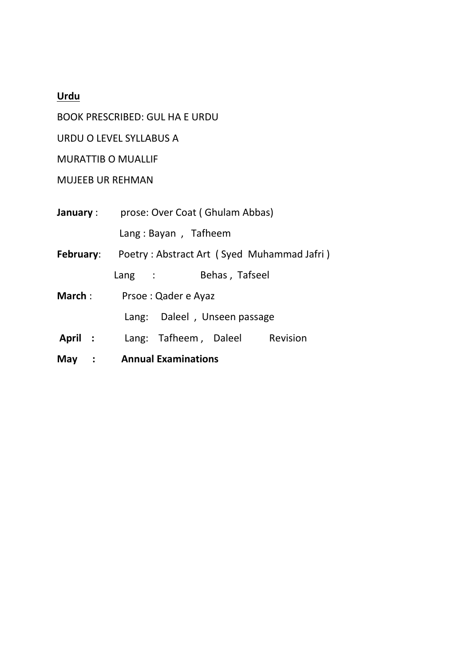# **Urdu**

BOOK PRESCRIBED: GUL HA E URDU

URDU O LEVEL SYLLABUS A

MURATTIB O MUALLIF

# MUJEEB UR REHMAN

| January :     | prose: Over Coat (Ghulam Abbas)                             |  |  |
|---------------|-------------------------------------------------------------|--|--|
|               | Lang: Bayan, Tafheem                                        |  |  |
|               | <b>February:</b> Poetry: Abstract Art (Syed Muhammad Jafri) |  |  |
|               | Behas, Tafseel<br>$\mathsf{Lang}$ :                         |  |  |
| <b>March:</b> | Prsoe: Qader e Ayaz                                         |  |  |
|               | Lang: Daleel, Unseen passage                                |  |  |
| April :       | Lang: Tafheem, Daleel<br>Revision                           |  |  |
| May           | : Annual Examinations                                       |  |  |